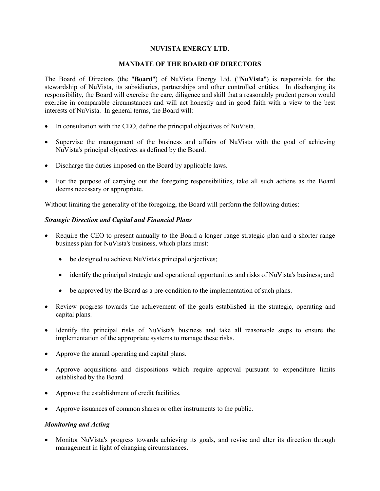## **NUVISTA ENERGY LTD.**

#### **MANDATE OF THE BOARD OF DIRECTORS**

The Board of Directors (the "**Board**") of NuVista Energy Ltd. ("**NuVista**") is responsible for the stewardship of NuVista, its subsidiaries, partnerships and other controlled entities. In discharging its responsibility, the Board will exercise the care, diligence and skill that a reasonably prudent person would exercise in comparable circumstances and will act honestly and in good faith with a view to the best interests of NuVista. In general terms, the Board will:

- In consultation with the CEO, define the principal objectives of NuVista.
- Supervise the management of the business and affairs of NuVista with the goal of achieving NuVista's principal objectives as defined by the Board.
- Discharge the duties imposed on the Board by applicable laws.
- For the purpose of carrying out the foregoing responsibilities, take all such actions as the Board deems necessary or appropriate.

Without limiting the generality of the foregoing, the Board will perform the following duties:

## *Strategic Direction and Capital and Financial Plans*

- Require the CEO to present annually to the Board a longer range strategic plan and a shorter range business plan for NuVista's business, which plans must:
	- be designed to achieve NuVista's principal objectives;
	- identify the principal strategic and operational opportunities and risks of NuVista's business; and
	- be approved by the Board as a pre-condition to the implementation of such plans.
- Review progress towards the achievement of the goals established in the strategic, operating and capital plans.
- Identify the principal risks of NuVista's business and take all reasonable steps to ensure the implementation of the appropriate systems to manage these risks.
- Approve the annual operating and capital plans.
- Approve acquisitions and dispositions which require approval pursuant to expenditure limits established by the Board.
- Approve the establishment of credit facilities.
- Approve issuances of common shares or other instruments to the public.

## *Monitoring and Acting*

• Monitor NuVista's progress towards achieving its goals, and revise and alter its direction through management in light of changing circumstances.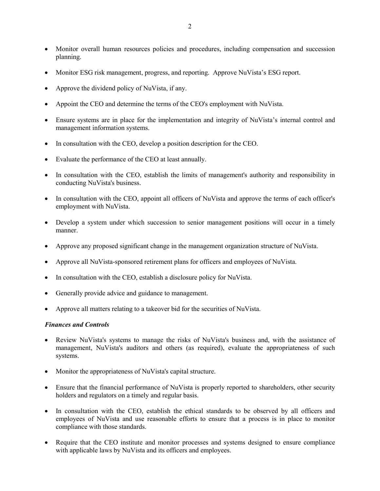- Monitor overall human resources policies and procedures, including compensation and succession planning.
- Monitor ESG risk management, progress, and reporting. Approve NuVista's ESG report.
- Approve the dividend policy of NuVista, if any.
- Appoint the CEO and determine the terms of the CEO's employment with NuVista.
- Ensure systems are in place for the implementation and integrity of NuVista's internal control and management information systems.
- In consultation with the CEO, develop a position description for the CEO.
- Evaluate the performance of the CEO at least annually.
- In consultation with the CEO, establish the limits of management's authority and responsibility in conducting NuVista's business.
- In consultation with the CEO, appoint all officers of NuVista and approve the terms of each officer's employment with NuVista.
- Develop a system under which succession to senior management positions will occur in a timely manner.
- Approve any proposed significant change in the management organization structure of NuVista.
- Approve all NuVista-sponsored retirement plans for officers and employees of NuVista.
- In consultation with the CEO, establish a disclosure policy for NuVista.
- Generally provide advice and guidance to management.
- Approve all matters relating to a takeover bid for the securities of NuVista.

## *Finances and Controls*

- Review NuVista's systems to manage the risks of NuVista's business and, with the assistance of management, NuVista's auditors and others (as required), evaluate the appropriateness of such systems.
- Monitor the appropriateness of NuVista's capital structure.
- Ensure that the financial performance of NuVista is properly reported to shareholders, other security holders and regulators on a timely and regular basis.
- In consultation with the CEO, establish the ethical standards to be observed by all officers and employees of NuVista and use reasonable efforts to ensure that a process is in place to monitor compliance with those standards.
- Require that the CEO institute and monitor processes and systems designed to ensure compliance with applicable laws by NuVista and its officers and employees.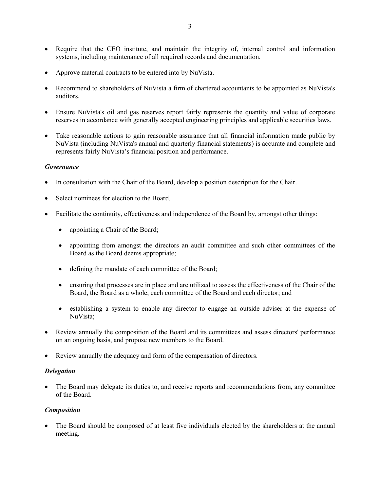- Require that the CEO institute, and maintain the integrity of, internal control and information systems, including maintenance of all required records and documentation.
- Approve material contracts to be entered into by NuVista.
- Recommend to shareholders of NuVista a firm of chartered accountants to be appointed as NuVista's auditors.
- Ensure NuVista's oil and gas reserves report fairly represents the quantity and value of corporate reserves in accordance with generally accepted engineering principles and applicable securities laws.
- Take reasonable actions to gain reasonable assurance that all financial information made public by NuVista (including NuVista's annual and quarterly financial statements) is accurate and complete and represents fairly NuVista's financial position and performance.

## *Governance*

- In consultation with the Chair of the Board, develop a position description for the Chair.
- Select nominees for election to the Board.
- Facilitate the continuity, effectiveness and independence of the Board by, amongst other things:
	- appointing a Chair of the Board;
	- appointing from amongst the directors an audit committee and such other committees of the Board as the Board deems appropriate;
	- defining the mandate of each committee of the Board;
	- ensuring that processes are in place and are utilized to assess the effectiveness of the Chair of the Board, the Board as a whole, each committee of the Board and each director; and
	- establishing a system to enable any director to engage an outside adviser at the expense of NuVista;
- Review annually the composition of the Board and its committees and assess directors' performance on an ongoing basis, and propose new members to the Board.
- Review annually the adequacy and form of the compensation of directors.

## *Delegation*

 The Board may delegate its duties to, and receive reports and recommendations from, any committee of the Board.

## *Composition*

• The Board should be composed of at least five individuals elected by the shareholders at the annual meeting.